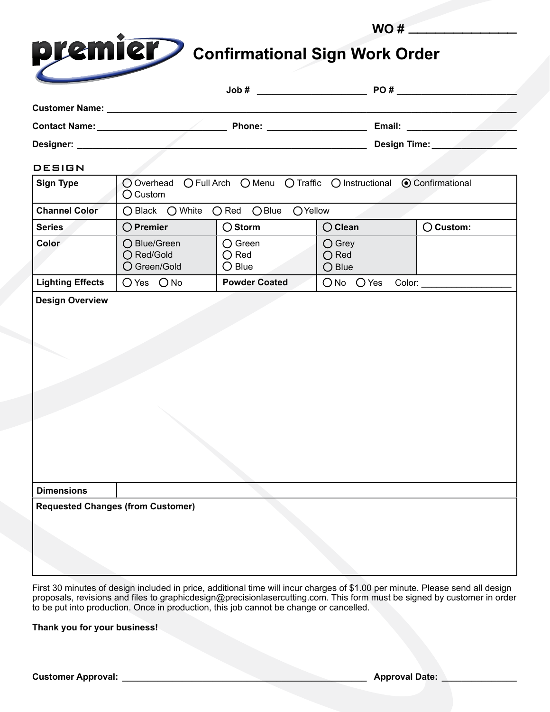| <b>premier</b> Confirmational Sign Work Order |
|-----------------------------------------------|
|                                               |

**WO #** \_\_\_\_\_\_\_\_\_\_\_\_

|                                                                                                                                                                                                                                |                                                                                               | $\text{Job #}$                                        |                                               | PO#                |
|--------------------------------------------------------------------------------------------------------------------------------------------------------------------------------------------------------------------------------|-----------------------------------------------------------------------------------------------|-------------------------------------------------------|-----------------------------------------------|--------------------|
| Customer Name: Name: Name State Management of the Superman Management of the United States and Superman Management of the United States and Superman Management of the United States and District Contract of the United State |                                                                                               |                                                       |                                               |                    |
|                                                                                                                                                                                                                                |                                                                                               | Phone: ______________________                         |                                               |                    |
| Designer: _______________                                                                                                                                                                                                      |                                                                                               | Design Time:                                          |                                               |                    |
| <b>DESIGN</b>                                                                                                                                                                                                                  |                                                                                               |                                                       |                                               |                    |
| <b>Sign Type</b>                                                                                                                                                                                                               | ○ Overhead ○ Full Arch ○ Menu ○ Traffic ○ Instructional ● Confirmational<br>$\bigcirc$ Custom |                                                       |                                               |                    |
| <b>Channel Color</b>                                                                                                                                                                                                           | ○ Black ○ White                                                                               | $O$ Red $O$ Blue<br>OYellow                           |                                               |                    |
| <b>Series</b>                                                                                                                                                                                                                  | $\bigcirc$ Premier                                                                            | $\bigcirc$ Storm                                      | $\bigcirc$ Clean                              | $\bigcirc$ Custom: |
| Color                                                                                                                                                                                                                          | ◯ Blue/Green<br>○ Red/Gold<br>○ Green/Gold                                                    | $\bigcirc$ Green<br>$\bigcirc$ Red<br>$\bigcirc$ Blue | $\bigcirc$ Grey<br>$\bigcirc$ Red<br>$O$ Blue |                    |
| <b>Lighting Effects</b>                                                                                                                                                                                                        | O Yes O No                                                                                    | <b>Powder Coated</b>                                  | $ONo$ $O$ Yes<br>Color:                       |                    |
|                                                                                                                                                                                                                                |                                                                                               |                                                       |                                               |                    |
| <b>Dimensions</b>                                                                                                                                                                                                              |                                                                                               |                                                       |                                               |                    |
|                                                                                                                                                                                                                                | <b>Requested Changes (from Customer)</b>                                                      |                                                       |                                               |                    |

First 30 minutes of design included in price, additional time will incur charges of \$1.00 per minute. Please send all design proposals, revisions and files to graphicdesign@precisionlasercutting.com. This form must be signed by customer in order to be put into production. Once in production, this job cannot be change or cancelled.

**Thank you for your business!**